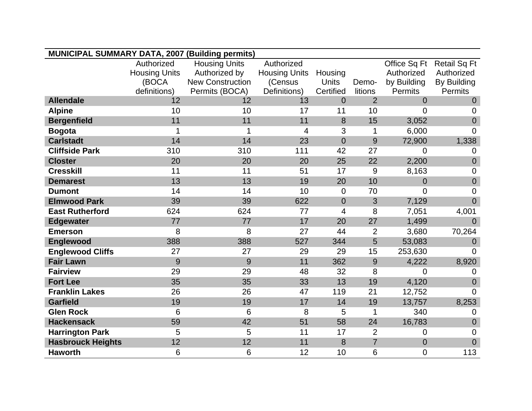| MUNICIPAL SUMMARY DATA, 2007 (Building permits) |                                    |                                       |                                    |                |                |                            |                                   |
|-------------------------------------------------|------------------------------------|---------------------------------------|------------------------------------|----------------|----------------|----------------------------|-----------------------------------|
|                                                 |                                    |                                       |                                    |                |                |                            |                                   |
|                                                 | Authorized<br><b>Housing Units</b> | <b>Housing Units</b><br>Authorized by | Authorized<br><b>Housing Units</b> | Housing        |                | Office Sq Ft<br>Authorized | <b>Retail Sq Ft</b><br>Authorized |
|                                                 | (BOCA                              | <b>New Construction</b>               | (Census                            | <b>Units</b>   | Demo-          | by Building                | By Building                       |
|                                                 | definitions)                       | Permits (BOCA)                        | Definitions)                       | Certified      | litions        | Permits                    | Permits                           |
| <b>Allendale</b>                                | 12                                 | 12                                    | 13                                 | $\Omega$       | $\overline{2}$ | $\overline{0}$             | $\overline{0}$                    |
| <b>Alpine</b>                                   | 10                                 | 10                                    | 17                                 | 11             | 10             | $\overline{0}$             | $\overline{0}$                    |
| <b>Bergenfield</b>                              | 11                                 | 11                                    | 11                                 | 8              | 15             | 3,052                      | $\overline{0}$                    |
| <b>Bogota</b>                                   | 1                                  | 1                                     | 4                                  | 3              | 1              | 6,000                      | $\Omega$                          |
| <b>Carlstadt</b>                                | 14                                 | 14                                    | 23                                 | $\overline{0}$ | 9              | 72,900                     | 1,338                             |
| <b>Cliffside Park</b>                           | 310                                | 310                                   | 111                                | 42             | 27             | $\overline{0}$             | $\mathbf 0$                       |
| <b>Closter</b>                                  | 20                                 | 20                                    | 20                                 | 25             | 22             | 2,200                      | $\mathbf 0$                       |
| <b>Cresskill</b>                                | 11                                 | 11                                    | 51                                 | 17             | 9              | 8,163                      | $\mathbf 0$                       |
| <b>Demarest</b>                                 | 13                                 | 13                                    | 19                                 | 20             | 10             | $\overline{0}$             | $\mathbf 0$                       |
| <b>Dumont</b>                                   | 14                                 | 14                                    | 10                                 | $\overline{0}$ | 70             | $\overline{0}$             | $\overline{0}$                    |
| <b>Elmwood Park</b>                             | 39                                 | 39                                    | 622                                | $\overline{0}$ | 3              | 7,129                      | $\overline{0}$                    |
| <b>East Rutherford</b>                          | 624                                | 624                                   | 77                                 | 4              | 8              | 7,051                      | 4,001                             |
| <b>Edgewater</b>                                | 77                                 | 77                                    | 17                                 | 20             | 27             | 1,499                      | $\overline{0}$                    |
| <b>Emerson</b>                                  | 8                                  | 8                                     | 27                                 | 44             | $\overline{2}$ | 3,680                      | 70,264                            |
| Englewood                                       | 388                                | 388                                   | 527                                | 344            | 5              | 53,083                     | $\Omega$                          |
| <b>Englewood Cliffs</b>                         | 27                                 | 27                                    | 29                                 | 29             | 15             | 253,630                    | 0                                 |
| <b>Fair Lawn</b>                                | 9                                  | 9                                     | 11                                 | 362            | 9              | 4,222                      | 8,920                             |
| <b>Fairview</b>                                 | 29                                 | 29                                    | 48                                 | 32             | 8              | $\overline{0}$             | 0                                 |
| <b>Fort Lee</b>                                 | 35                                 | 35                                    | 33                                 | 13             | 19             | 4,120                      | $\overline{0}$                    |
| <b>Franklin Lakes</b>                           | 26                                 | 26                                    | 47                                 | 119            | 21             | 12,752                     | $\Omega$                          |
| <b>Garfield</b>                                 | 19                                 | 19                                    | 17                                 | 14             | 19             | 13,757                     | 8,253                             |
| <b>Glen Rock</b>                                | 6                                  | 6                                     | 8                                  | 5              | 1              | 340                        | $\mathbf 0$                       |
| <b>Hackensack</b>                               | 59                                 | 42                                    | 51                                 | 58             | 24             | 16,783                     | $\theta$                          |
| <b>Harrington Park</b>                          | 5                                  | 5                                     | 11                                 | 17             | $\overline{2}$ | $\overline{0}$             | $\overline{0}$                    |
| <b>Hasbrouck Heights</b>                        | 12                                 | 12                                    | 11                                 | 8              | $\overline{7}$ | $\overline{0}$             | $\overline{0}$                    |
| <b>Haworth</b>                                  | 6                                  | 6                                     | 12                                 | 10             | 6              | $\overline{0}$             | 113                               |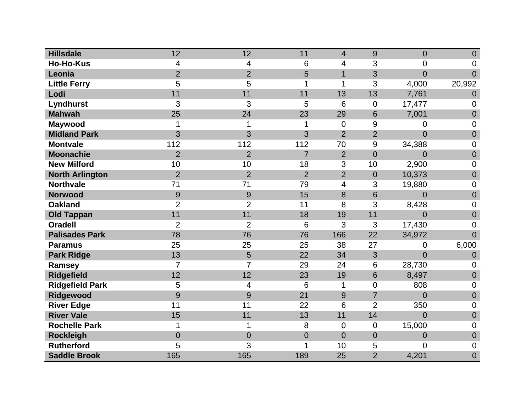| <b>Hillsdale</b>       | 12             | 12             | 11             | $\overline{4}$ | 9              | $\overline{0}$ | $\overline{0}$   |
|------------------------|----------------|----------------|----------------|----------------|----------------|----------------|------------------|
| <b>Ho-Ho-Kus</b>       | 4              | 4              | 6              | 4              | 3              | $\overline{0}$ | 0                |
| Leonia                 | $\overline{2}$ | $\overline{2}$ | 5              | $\mathbf{1}$   | 3              | $\overline{0}$ | $\overline{0}$   |
| <b>Little Ferry</b>    | 5              | 5              | 1              | 1              | 3              | 4,000          | 20,992           |
| Lodi                   | 11             | 11             | 11             | 13             | 13             | 7,761          | $\overline{0}$   |
| <b>Lyndhurst</b>       | 3              | 3              | 5              | 6              | $\mathbf 0$    | 17,477         | 0                |
| <b>Mahwah</b>          | 25             | 24             | 23             | 29             | 6              | 7,001          | $\boldsymbol{0}$ |
| <b>Maywood</b>         | 1              | 1              | 1              | $\overline{0}$ | 9              | 0              | 0                |
| <b>Midland Park</b>    | 3              | 3              | 3              | $\overline{2}$ | $\overline{2}$ | $\overline{0}$ | $\boldsymbol{0}$ |
| <b>Montvale</b>        | 112            | 112            | 112            | 70             | 9              | 34,388         | $\overline{0}$   |
| <b>Moonachie</b>       | $\overline{2}$ | $\overline{2}$ | $\overline{7}$ | $\overline{2}$ | $\overline{0}$ | 0              | $\mathbf 0$      |
| <b>New Milford</b>     | 10             | 10             | 18             | 3              | 10             | 2,900          | $\boldsymbol{0}$ |
| <b>North Arlington</b> | $\overline{2}$ | $\overline{2}$ | $\overline{2}$ | $\overline{2}$ | $\overline{0}$ | 10,373         | $\boldsymbol{0}$ |
| <b>Northvale</b>       | 71             | 71             | 79             | 4              | 3              | 19,880         | 0                |
| <b>Norwood</b>         | 9              | 9              | 15             | 8              | 6              | $\overline{0}$ | $\overline{0}$   |
| <b>Oakland</b>         | $\overline{2}$ | $\overline{2}$ | 11             | 8              | 3              | 8,428          | 0                |
| <b>Old Tappan</b>      | 11             | 11             | 18             | 19             | 11             | $\overline{0}$ | $\boldsymbol{0}$ |
| <b>Oradell</b>         | $\overline{2}$ | $\overline{2}$ | 6              | 3              | 3              | 17,430         | 0                |
| <b>Palisades Park</b>  | 78             | 76             | 76             | 166            | 22             | 34,972         | $\overline{0}$   |
| <b>Paramus</b>         | 25             | 25             | 25             | 38             | 27             | 0              | 6,000            |
| <b>Park Ridge</b>      | 13             | 5              | 22             | 34             | 3              | 0              | $\theta$         |
| Ramsey                 | $\overline{7}$ | 7              | 29             | 24             | 6              | 28,730         | $\mathbf 0$      |
| <b>Ridgefield</b>      | 12             | 12             | 23             | 19             | $6\phantom{1}$ | 8,497          | $\boldsymbol{0}$ |
| <b>Ridgefield Park</b> | 5              | 4              | 6              | 1              | $\overline{0}$ | 808            | $\overline{0}$   |
| Ridgewood              | 9              | 9              | 21             | 9              | $\overline{7}$ | $\overline{0}$ | $\boldsymbol{0}$ |
| <b>River Edge</b>      | 11             | 11             | 22             | 6              | $\overline{2}$ | 350            | $\overline{0}$   |
| <b>River Vale</b>      | 15             | 11             | 13             | 11             | 14             | $\overline{0}$ | $\mathbf 0$      |
| <b>Rochelle Park</b>   | 1              | 1              | 8              | $\mathbf 0$    | $\overline{0}$ | 15,000         | 0                |
| <b>Rockleigh</b>       | $\overline{0}$ | $\overline{0}$ | $\overline{0}$ | $\overline{0}$ | $\overline{0}$ | 0              | $\mathbf 0$      |
| <b>Rutherford</b>      | 5              | 3              | 1              | 10             | 5              | 0              | 0                |
| <b>Saddle Brook</b>    | 165            | 165            | 189            | 25             | $\overline{2}$ | 4,201          | $\overline{0}$   |